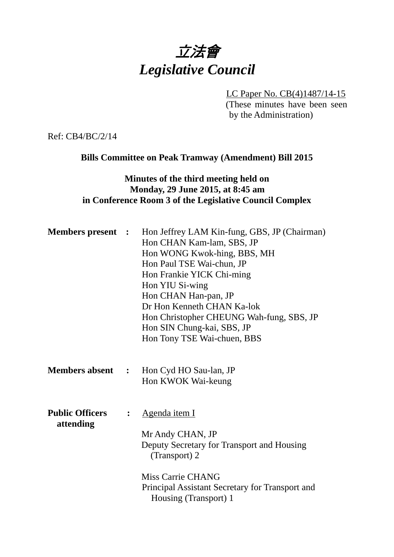# 立法會 *Legislative Council*

LC Paper No. CB(4)1487/14-15 (These minutes have been seen by the Administration)

Ref: CB4/BC/2/14

## **Bills Committee on Peak Tramway (Amendment) Bill 2015**

# **Minutes of the third meeting held on Monday, 29 June 2015, at 8:45 am in Conference Room 3 of the Legislative Council Complex**

| <b>Members present :</b>            |                | Hon Jeffrey LAM Kin-fung, GBS, JP (Chairman)<br>Hon CHAN Kam-lam, SBS, JP<br>Hon WONG Kwok-hing, BBS, MH<br>Hon Paul TSE Wai-chun, JP<br>Hon Frankie YICK Chi-ming<br>Hon YIU Si-wing<br>Hon CHAN Han-pan, JP<br>Dr Hon Kenneth CHAN Ka-lok<br>Hon Christopher CHEUNG Wah-fung, SBS, JP<br>Hon SIN Chung-kai, SBS, JP<br>Hon Tony TSE Wai-chuen, BBS |
|-------------------------------------|----------------|------------------------------------------------------------------------------------------------------------------------------------------------------------------------------------------------------------------------------------------------------------------------------------------------------------------------------------------------------|
|                                     |                | <b>Members absent : Hon Cyd HO Sau-lan, JP</b><br>Hon KWOK Wai-keung                                                                                                                                                                                                                                                                                 |
| <b>Public Officers</b><br>attending | $\ddot{\cdot}$ | <u>Agenda item I</u><br>Mr Andy CHAN, JP<br>Deputy Secretary for Transport and Housing<br>(Transport) 2<br>Miss Carrie CHANG<br>Principal Assistant Secretary for Transport and<br>Housing (Transport) 1                                                                                                                                             |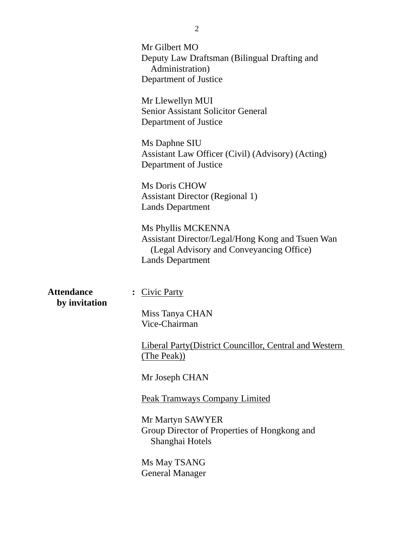|                   | Mr Gilbert MO<br>Deputy Law Draftsman (Bilingual Drafting and<br>Administration)<br>Department of Justice                                     |
|-------------------|-----------------------------------------------------------------------------------------------------------------------------------------------|
|                   | Mr Llewellyn MUI<br><b>Senior Assistant Solicitor General</b><br>Department of Justice                                                        |
|                   | Ms Daphne SIU<br>Assistant Law Officer (Civil) (Advisory) (Acting)<br>Department of Justice                                                   |
|                   | Ms Doris CHOW<br><b>Assistant Director (Regional 1)</b><br><b>Lands Department</b>                                                            |
|                   | Ms Phyllis MCKENNA<br>Assistant Director/Legal/Hong Kong and Tsuen Wan<br>(Legal Advisory and Conveyancing Office)<br><b>Lands Department</b> |
| <b>Attendance</b> | <b>Civic Party</b>                                                                                                                            |
| by invitation     | Miss Tanya CHAN<br>Vice-Chairman                                                                                                              |
|                   | <b>Liberal Party (District Councillor, Central and Western</b><br>(The Peak))                                                                 |
|                   | Mr Joseph CHAN                                                                                                                                |
|                   | <b>Peak Tramways Company Limited</b>                                                                                                          |
|                   | Mr Martyn SAWYER<br>Group Director of Properties of Hongkong and<br>Shanghai Hotels                                                           |
|                   | Ms May TSANG<br><b>General Manager</b>                                                                                                        |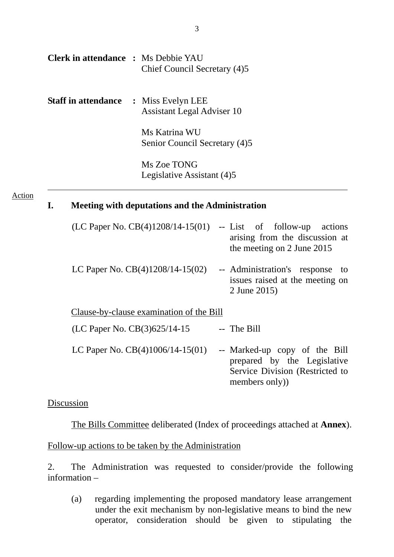| <b>Clerk in attendance : Ms Debbie YAU</b> | Chief Council Secretary (4)5                    |  |
|--------------------------------------------|-------------------------------------------------|--|
| <b>Staff in attendance</b>                 | : Miss Evelyn LEE<br>Assistant Legal Adviser 10 |  |
|                                            | Ms Katrina WU<br>Senior Council Secretary (4)5  |  |
|                                            | Ms Zoe TONG<br>Legislative Assistant (4)5       |  |

#### Action

#### **I. Meeting with deputations and the Administration**

| (LC Paper No. $CB(4)1208/14-15(01)$      | -- List of follow-up actions<br>arising from the discussion at<br>the meeting on 2 June 2015                     |
|------------------------------------------|------------------------------------------------------------------------------------------------------------------|
| LC Paper No. $CB(4)1208/14-15(02)$       | -- Administration's response to<br>issues raised at the meeting on<br>2 June 2015)                               |
| Clause-by-clause examination of the Bill |                                                                                                                  |
| (LC Paper No. CB(3)625/14-15             | -- The Bill                                                                                                      |
| LC Paper No. $CB(4)1006/14-15(01)$       | -- Marked-up copy of the Bill<br>prepared by the Legislative<br>Service Division (Restricted to<br>members only) |

### Discussion

The Bills Committee deliberated (Index of proceedings attached at **Annex**).

# Follow-up actions to be taken by the Administration

2. The Administration was requested to consider/provide the following information –

(a) regarding implementing the proposed mandatory lease arrangement under the exit mechanism by non-legislative means to bind the new operator, consideration should be given to stipulating the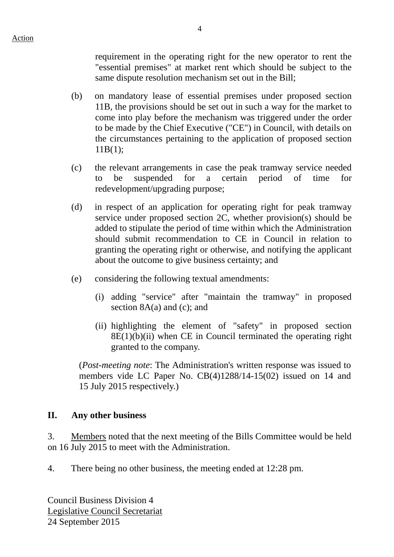requirement in the operating right for the new operator to rent the "essential premises" at market rent which should be subject to the same dispute resolution mechanism set out in the Bill;

- (b) on mandatory lease of essential premises under proposed section 11B, the provisions should be set out in such a way for the market to come into play before the mechanism was triggered under the order to be made by the Chief Executive ("CE") in Council, with details on the circumstances pertaining to the application of proposed section 11B(1);
- (c) the relevant arrangements in case the peak tramway service needed to be suspended for a certain period of time for redevelopment/upgrading purpose;
- (d) in respect of an application for operating right for peak tramway service under proposed section 2C, whether provision(s) should be added to stipulate the period of time within which the Administration should submit recommendation to CE in Council in relation to granting the operating right or otherwise, and notifying the applicant about the outcome to give business certainty; and
- (e) considering the following textual amendments:
	- (i) adding "service" after "maintain the tramway" in proposed section 8A(a) and (c); and
	- (ii) highlighting the element of "safety" in proposed section  $8E(1)(b)(ii)$  when CE in Council terminated the operating right granted to the company.

(*Post-meeting note*: The Administration's written response was issued to members vide LC Paper No. CB(4)1288/14-15(02) issued on 14 and 15 July 2015 respectively.)

#### **II. Any other business**

3. Members noted that the next meeting of the Bills Committee would be held on 16 July 2015 to meet with the Administration.

4. There being no other business, the meeting ended at 12:28 pm.

Council Business Division 4 Legislative Council Secretariat 24 September 2015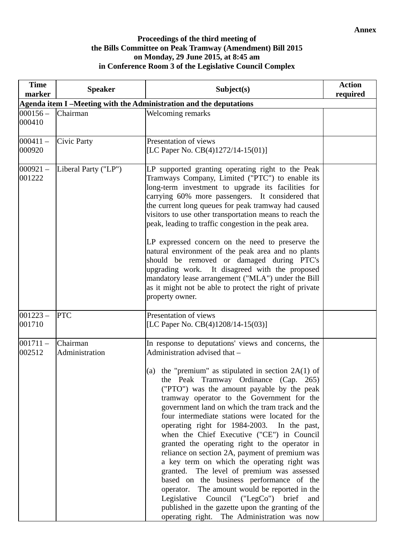#### **Proceedings of the third meeting of the Bills Committee on Peak Tramway (Amendment) Bill 2015 on Monday, 29 June 2015, at 8:45 am in Conference Room 3 of the Legislative Council Complex**

| <b>Time</b><br>marker | <b>Speaker</b>             | Subject(s)                                                                                                                                                                                                                                                                                                                                                                                                                                                                                                                                                                                                                                                                                                                                                                                                                                                                                                                            | <b>Action</b><br>required |
|-----------------------|----------------------------|---------------------------------------------------------------------------------------------------------------------------------------------------------------------------------------------------------------------------------------------------------------------------------------------------------------------------------------------------------------------------------------------------------------------------------------------------------------------------------------------------------------------------------------------------------------------------------------------------------------------------------------------------------------------------------------------------------------------------------------------------------------------------------------------------------------------------------------------------------------------------------------------------------------------------------------|---------------------------|
|                       |                            | Agenda item I-Meeting with the Administration and the deputations                                                                                                                                                                                                                                                                                                                                                                                                                                                                                                                                                                                                                                                                                                                                                                                                                                                                     |                           |
| $000156 -$<br>000410  | Chairman                   | Welcoming remarks                                                                                                                                                                                                                                                                                                                                                                                                                                                                                                                                                                                                                                                                                                                                                                                                                                                                                                                     |                           |
|                       |                            |                                                                                                                                                                                                                                                                                                                                                                                                                                                                                                                                                                                                                                                                                                                                                                                                                                                                                                                                       |                           |
| $000411 -$<br>000920  | <b>Civic Party</b>         | Presentation of views<br>[LC Paper No. CB(4)1272/14-15(01)]                                                                                                                                                                                                                                                                                                                                                                                                                                                                                                                                                                                                                                                                                                                                                                                                                                                                           |                           |
| $000921 -$<br>001222  | Liberal Party ("LP")       | LP supported granting operating right to the Peak<br>Tramways Company, Limited ("PTC") to enable its<br>long-term investment to upgrade its facilities for<br>carrying 60% more passengers. It considered that<br>the current long queues for peak tramway had caused<br>visitors to use other transportation means to reach the<br>peak, leading to traffic congestion in the peak area.<br>LP expressed concern on the need to preserve the<br>natural environment of the peak area and no plants<br>should be removed or damaged during PTC's<br>upgrading work. It disagreed with the proposed<br>mandatory lease arrangement ("MLA") under the Bill<br>as it might not be able to protect the right of private<br>property owner.                                                                                                                                                                                                |                           |
| $001223 -$<br>001710  | <b>PTC</b>                 | Presentation of views<br>[LC Paper No. CB(4)1208/14-15(03)]                                                                                                                                                                                                                                                                                                                                                                                                                                                                                                                                                                                                                                                                                                                                                                                                                                                                           |                           |
| $001711 -$<br>002512  | Chairman<br>Administration | In response to deputations' views and concerns, the<br>Administration advised that -<br>(a) the "premium" as stipulated in section $2A(1)$ of<br>the Peak Tramway Ordinance (Cap. 265)<br>("PTO") was the amount payable by the peak<br>tramway operator to the Government for the<br>government land on which the tram track and the<br>four intermediate stations were located for the<br>operating right for 1984-2003. In the past,<br>when the Chief Executive ("CE") in Council<br>granted the operating right to the operator in<br>reliance on section 2A, payment of premium was<br>a key term on which the operating right was<br>granted. The level of premium was assessed<br>based on the business performance of the<br>operator. The amount would be reported in the<br>Legislative Council ("LegCo") brief<br>and<br>published in the gazette upon the granting of the<br>operating right. The Administration was now |                           |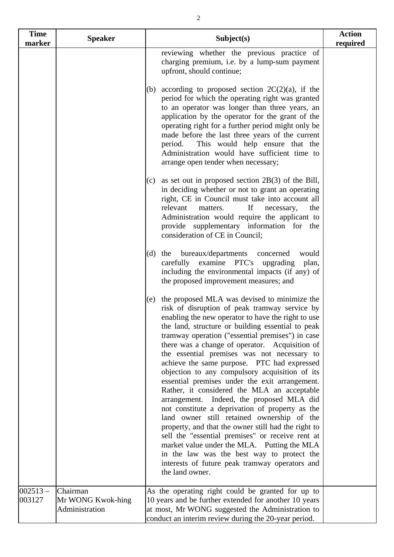| <b>Time</b><br>marker | <b>Speaker</b>                | Subject(s)                                                                                                                                                                                                                                                                                                                                                                                                                                                                                                                                                                                                                                                                                                                                                                                                                                                                                                                                                                                     | <b>Action</b><br>required |
|-----------------------|-------------------------------|------------------------------------------------------------------------------------------------------------------------------------------------------------------------------------------------------------------------------------------------------------------------------------------------------------------------------------------------------------------------------------------------------------------------------------------------------------------------------------------------------------------------------------------------------------------------------------------------------------------------------------------------------------------------------------------------------------------------------------------------------------------------------------------------------------------------------------------------------------------------------------------------------------------------------------------------------------------------------------------------|---------------------------|
|                       |                               | reviewing whether the previous practice of<br>charging premium, i.e. by a lump-sum payment<br>upfront, should continue;                                                                                                                                                                                                                                                                                                                                                                                                                                                                                                                                                                                                                                                                                                                                                                                                                                                                        |                           |
|                       |                               | according to proposed section $2C(2)(a)$ , if the<br>(b)<br>period for which the operating right was granted<br>to an operator was longer than three years, an<br>application by the operator for the grant of the<br>operating right for a further period might only be<br>made before the last three years of the current<br>This would help ensure that the<br>period.<br>Administration would have sufficient time to<br>arrange open tender when necessary;                                                                                                                                                                                                                                                                                                                                                                                                                                                                                                                               |                           |
|                       |                               | as set out in proposed section $2B(3)$ of the Bill,<br>(c)<br>in deciding whether or not to grant an operating<br>right, CE in Council must take into account all<br>relevant<br>If<br>matters.<br>necessary,<br>the<br>Administration would require the applicant to<br>provide supplementary information for the<br>consideration of CE in Council;                                                                                                                                                                                                                                                                                                                                                                                                                                                                                                                                                                                                                                          |                           |
|                       |                               | bureaux/departments<br>$(d)$ the<br>concerned<br>would<br>carefully examine PTC's upgrading<br>plan,<br>including the environmental impacts (if any) of<br>the proposed improvement measures; and                                                                                                                                                                                                                                                                                                                                                                                                                                                                                                                                                                                                                                                                                                                                                                                              |                           |
|                       |                               | (e) the proposed MLA was devised to minimize the<br>risk of disruption of peak tramway service by<br>enabling the new operator to have the right to use<br>the land, structure or building essential to peak<br>tramway operation ("essential premises") in case<br>there was a change of operator. Acquisition of<br>the essential premises was not necessary to<br>achieve the same purpose. PTC had expressed<br>objection to any compulsory acquisition of its<br>essential premises under the exit arrangement.<br>Rather, it considered the MLA an acceptable<br>arrangement. Indeed, the proposed MLA did<br>not constitute a deprivation of property as the<br>land owner still retained ownership of the<br>property, and that the owner still had the right to<br>sell the "essential premises" or receive rent at<br>market value under the MLA. Putting the MLA<br>in the law was the best way to protect the<br>interests of future peak tramway operators and<br>the land owner. |                           |
| $002513 -$<br>003127  | Chairman<br>Mr WONG Kwok-hing | As the operating right could be granted for up to<br>10 years and be further extended for another 10 years                                                                                                                                                                                                                                                                                                                                                                                                                                                                                                                                                                                                                                                                                                                                                                                                                                                                                     |                           |
|                       | Administration                | at most, Mr WONG suggested the Administration to<br>conduct an interim review during the 20-year period.                                                                                                                                                                                                                                                                                                                                                                                                                                                                                                                                                                                                                                                                                                                                                                                                                                                                                       |                           |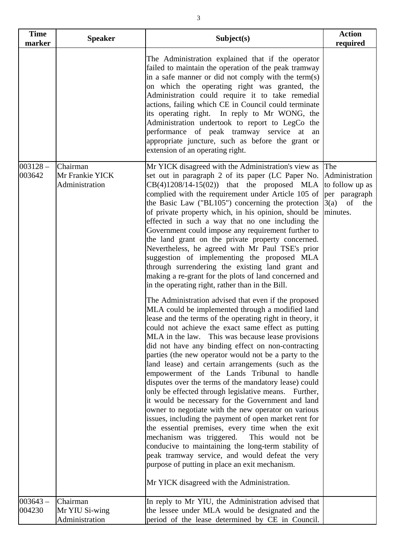| <b>Time</b><br>marker | <b>Speaker</b>                                | Subject(s)                                                                                                                                                                                                                                                                                                                                                                                                                                                                                                                                                                                                                                                                                                                                                                                                                                                                                                                                                                                                                                                                                                                                                                                                                                                                                                                                                                                                                                                                                                                                                                                                                                                                                                                                                                                                                                                                | <b>Action</b><br>required                                                                 |
|-----------------------|-----------------------------------------------|---------------------------------------------------------------------------------------------------------------------------------------------------------------------------------------------------------------------------------------------------------------------------------------------------------------------------------------------------------------------------------------------------------------------------------------------------------------------------------------------------------------------------------------------------------------------------------------------------------------------------------------------------------------------------------------------------------------------------------------------------------------------------------------------------------------------------------------------------------------------------------------------------------------------------------------------------------------------------------------------------------------------------------------------------------------------------------------------------------------------------------------------------------------------------------------------------------------------------------------------------------------------------------------------------------------------------------------------------------------------------------------------------------------------------------------------------------------------------------------------------------------------------------------------------------------------------------------------------------------------------------------------------------------------------------------------------------------------------------------------------------------------------------------------------------------------------------------------------------------------------|-------------------------------------------------------------------------------------------|
|                       |                                               | The Administration explained that if the operator<br>failed to maintain the operation of the peak tramway<br>in a safe manner or did not comply with the term(s)<br>on which the operating right was granted, the<br>Administration could require it to take remedial<br>actions, failing which CE in Council could terminate<br>its operating right. In reply to Mr WONG, the<br>Administration undertook to report to LegCo the<br>performance of peak tramway service at<br>an<br>appropriate juncture, such as before the grant or<br>extension of an operating right.                                                                                                                                                                                                                                                                                                                                                                                                                                                                                                                                                                                                                                                                                                                                                                                                                                                                                                                                                                                                                                                                                                                                                                                                                                                                                                |                                                                                           |
| $003128 -$<br>003642  | Chairman<br>Mr Frankie YICK<br>Administration | Mr YICK disagreed with the Administration's view as<br>set out in paragraph 2 of its paper (LC Paper No.<br>$CB(4)1208/14-15(02))$ that the proposed MLA<br>complied with the requirement under Article 105 of<br>the Basic Law ("BL105") concerning the protection<br>of private property which, in his opinion, should be<br>effected in such a way that no one including the<br>Government could impose any requirement further to<br>the land grant on the private property concerned.<br>Nevertheless, he agreed with Mr Paul TSE's prior<br>suggestion of implementing the proposed MLA<br>through surrendering the existing land grant and<br>making a re-grant for the plots of land concerned and<br>in the operating right, rather than in the Bill.<br>The Administration advised that even if the proposed<br>MLA could be implemented through a modified land<br>lease and the terms of the operating right in theory, it<br>could not achieve the exact same effect as putting<br>MLA in the law. This was because lease provisions<br>did not have any binding effect on non-contracting<br>parties (the new operator would not be a party to the<br>land lease) and certain arrangements (such as the<br>empowerment of the Lands Tribunal to handle<br>disputes over the terms of the mandatory lease) could<br>only be effected through legislative means. Further,<br>it would be necessary for the Government and land<br>owner to negotiate with the new operator on various<br>issues, including the payment of open market rent for<br>the essential premises, every time when the exit<br>mechanism was triggered.<br>This would not be<br>conducive to maintaining the long-term stability of<br>peak tramway service, and would defeat the very<br>purpose of putting in place an exit mechanism.<br>Mr YICK disagreed with the Administration. | The<br>Administration<br>to follow up as<br>per paragraph<br>$3(a)$ of<br>the<br>minutes. |
| $003643 -$<br>004230  | Chairman<br>Mr YIU Si-wing<br>Administration  | In reply to Mr YIU, the Administration advised that<br>the lessee under MLA would be designated and the<br>period of the lease determined by CE in Council.                                                                                                                                                                                                                                                                                                                                                                                                                                                                                                                                                                                                                                                                                                                                                                                                                                                                                                                                                                                                                                                                                                                                                                                                                                                                                                                                                                                                                                                                                                                                                                                                                                                                                                               |                                                                                           |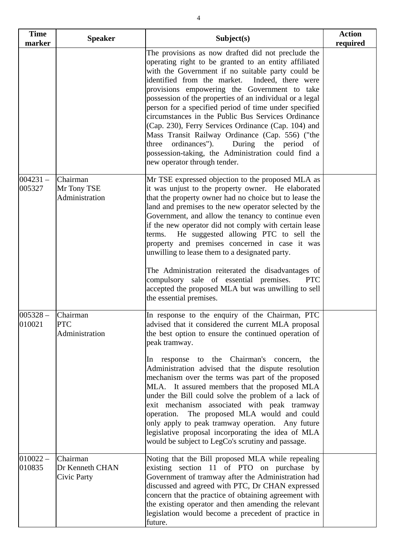| <b>Time</b>          | <b>Speaker</b>                             | Subject(s)                                                                                                                                                                                                                                                                                                                                                                                                                                                                                                                                                                                                                                                                                                       | <b>Action</b> |
|----------------------|--------------------------------------------|------------------------------------------------------------------------------------------------------------------------------------------------------------------------------------------------------------------------------------------------------------------------------------------------------------------------------------------------------------------------------------------------------------------------------------------------------------------------------------------------------------------------------------------------------------------------------------------------------------------------------------------------------------------------------------------------------------------|---------------|
| marker               |                                            |                                                                                                                                                                                                                                                                                                                                                                                                                                                                                                                                                                                                                                                                                                                  | required      |
|                      |                                            | The provisions as now drafted did not preclude the<br>operating right to be granted to an entity affiliated<br>with the Government if no suitable party could be<br>identified from the market. Indeed, there were<br>provisions empowering the Government to take<br>possession of the properties of an individual or a legal<br>person for a specified period of time under specified<br>circumstances in the Public Bus Services Ordinance<br>(Cap. 230), Ferry Services Ordinance (Cap. 104) and<br>Mass Transit Railway Ordinance (Cap. 556) ("the<br>three ordinances").<br>During the period of<br>possession-taking, the Administration could find a<br>new operator through tender.                     |               |
| $004231 -$<br>005327 | Chairman<br>Mr Tony TSE<br>Administration  | Mr TSE expressed objection to the proposed MLA as<br>it was unjust to the property owner. He elaborated<br>that the property owner had no choice but to lease the<br>land and premises to the new operator selected by the<br>Government, and allow the tenancy to continue even<br>if the new operator did not comply with certain lease<br>He suggested allowing PTC to sell the<br>terms.<br>property and premises concerned in case it was<br>unwilling to lease them to a designated party.<br>The Administration reiterated the disadvantages of<br>compulsory sale of essential premises.<br>PTC<br>accepted the proposed MLA but was unwilling to sell<br>the essential premises.                        |               |
| $005328 -$<br>010021 | Chairman<br><b>PTC</b><br>Administration   | In response to the enquiry of the Chairman, PTC<br>advised that it considered the current MLA proposal<br>the best option to ensure the continued operation of<br>peak tramway.<br>In response to the Chairman's concern,<br>the<br>Administration advised that the dispute resolution<br>mechanism over the terms was part of the proposed<br>MLA. It assured members that the proposed MLA<br>under the Bill could solve the problem of a lack of<br>exit mechanism associated with peak tramway<br>operation. The proposed MLA would and could<br>only apply to peak tramway operation. Any future<br>legislative proposal incorporating the idea of MLA<br>would be subject to LegCo's scrutiny and passage. |               |
| $010022 -$<br>010835 | Chairman<br>Dr Kenneth CHAN<br>Civic Party | Noting that the Bill proposed MLA while repealing<br>existing section 11 of PTO on purchase by<br>Government of tramway after the Administration had<br>discussed and agreed with PTC, Dr CHAN expressed<br>concern that the practice of obtaining agreement with<br>the existing operator and then amending the relevant<br>legislation would become a precedent of practice in<br>future.                                                                                                                                                                                                                                                                                                                      |               |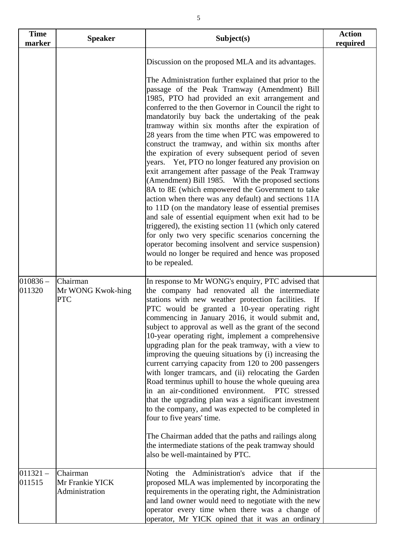| <b>Time</b><br>marker | <b>Speaker</b>                                | Subject(s)                                                                                                                                                                                                                                                                                                                                                                                                                                                                                                                                                                                                                                                                                                                                                                                                                                                                                                                                                                                                                                                                                                                                                                                         | <b>Action</b><br>required |
|-----------------------|-----------------------------------------------|----------------------------------------------------------------------------------------------------------------------------------------------------------------------------------------------------------------------------------------------------------------------------------------------------------------------------------------------------------------------------------------------------------------------------------------------------------------------------------------------------------------------------------------------------------------------------------------------------------------------------------------------------------------------------------------------------------------------------------------------------------------------------------------------------------------------------------------------------------------------------------------------------------------------------------------------------------------------------------------------------------------------------------------------------------------------------------------------------------------------------------------------------------------------------------------------------|---------------------------|
|                       |                                               | Discussion on the proposed MLA and its advantages.<br>The Administration further explained that prior to the<br>passage of the Peak Tramway (Amendment) Bill<br>1985, PTO had provided an exit arrangement and<br>conferred to the then Governor in Council the right to<br>mandatorily buy back the undertaking of the peak<br>tramway within six months after the expiration of<br>28 years from the time when PTC was empowered to<br>construct the tramway, and within six months after<br>the expiration of every subsequent period of seven<br>Yet, PTO no longer featured any provision on<br>years.<br>exit arrangement after passage of the Peak Tramway<br>(Amendment) Bill 1985. With the proposed sections<br>8A to 8E (which empowered the Government to take<br>action when there was any default) and sections 11A<br>to 11D (on the mandatory lease of essential premises<br>and sale of essential equipment when exit had to be<br>triggered), the existing section 11 (which only catered<br>for only two very specific scenarios concerning the<br>operator becoming insolvent and service suspension)<br>would no longer be required and hence was proposed<br>to be repealed. |                           |
| $010836 -$<br>011320  | Chairman<br>Mr WONG Kwok-hing<br><b>PTC</b>   | In response to Mr WONG's enquiry, PTC advised that<br>the company had renovated all the intermediate<br>stations with new weather protection facilities.<br>- If<br>PTC would be granted a 10-year operating right<br>commencing in January 2016, it would submit and,<br>subject to approval as well as the grant of the second<br>10-year operating right, implement a comprehensive<br>upgrading plan for the peak tramway, with a view to<br>improving the queuing situations by (i) increasing the<br>current carrying capacity from 120 to 200 passengers<br>with longer tramcars, and (ii) relocating the Garden<br>Road terminus uphill to house the whole queuing area<br>in an air-conditioned environment.<br>PTC stressed<br>that the upgrading plan was a significant investment<br>to the company, and was expected to be completed in<br>four to five years' time.<br>The Chairman added that the paths and railings along<br>the intermediate stations of the peak tramway should<br>also be well-maintained by PTC.                                                                                                                                                               |                           |
| $011321 -$<br>011515  | Chairman<br>Mr Frankie YICK<br>Administration | Noting the Administration's advice<br>that if the<br>proposed MLA was implemented by incorporating the<br>requirements in the operating right, the Administration<br>and land owner would need to negotiate with the new<br>operator every time when there was a change of<br>operator, Mr YICK opined that it was an ordinary                                                                                                                                                                                                                                                                                                                                                                                                                                                                                                                                                                                                                                                                                                                                                                                                                                                                     |                           |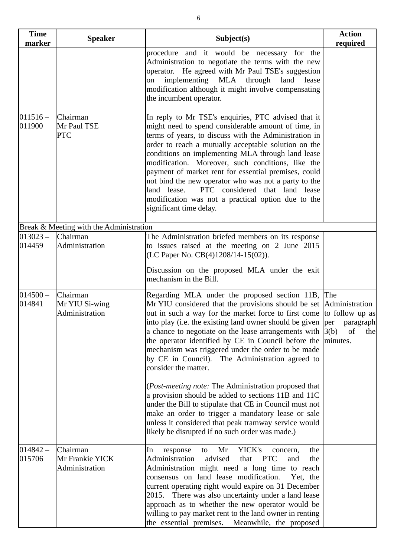| <b>Time</b><br>marker | <b>Speaker</b>                                | Subject(s)                                                                                                                                                                                                                                                                                                                                                                                                                                                                                                                                                                                                                                                                                                                                                                                                                                                                                          | <b>Action</b><br>required |
|-----------------------|-----------------------------------------------|-----------------------------------------------------------------------------------------------------------------------------------------------------------------------------------------------------------------------------------------------------------------------------------------------------------------------------------------------------------------------------------------------------------------------------------------------------------------------------------------------------------------------------------------------------------------------------------------------------------------------------------------------------------------------------------------------------------------------------------------------------------------------------------------------------------------------------------------------------------------------------------------------------|---------------------------|
|                       |                                               | procedure and it would be necessary for the<br>Administration to negotiate the terms with the new<br>operator. He agreed with Mr Paul TSE's suggestion<br>implementing MLA through land<br>lease<br>on<br>modification although it might involve compensating<br>the incumbent operator.                                                                                                                                                                                                                                                                                                                                                                                                                                                                                                                                                                                                            |                           |
| $011516 -$<br>011900  | Chairman<br>Mr Paul TSE<br><b>PTC</b>         | In reply to Mr TSE's enquiries, PTC advised that it<br>might need to spend considerable amount of time, in<br>terms of years, to discuss with the Administration in<br>order to reach a mutually acceptable solution on the<br>conditions on implementing MLA through land lease<br>modification. Moreover, such conditions, like the<br>payment of market rent for essential premises, could<br>not bind the new operator who was not a party to the<br>PTC considered that land lease<br>land lease.<br>modification was not a practical option due to the<br>significant time delay.                                                                                                                                                                                                                                                                                                             |                           |
|                       | Break & Meeting with the Administration       |                                                                                                                                                                                                                                                                                                                                                                                                                                                                                                                                                                                                                                                                                                                                                                                                                                                                                                     |                           |
| $013023 -$<br>014459  | Chairman<br>Administration                    | The Administration briefed members on its response<br>to issues raised at the meeting on 2 June 2015<br>(LC Paper No. CB(4)1208/14-15(02)).<br>Discussion on the proposed MLA under the exit<br>mechanism in the Bill.                                                                                                                                                                                                                                                                                                                                                                                                                                                                                                                                                                                                                                                                              |                           |
| $014500 -$<br>014841  | Chairman<br>Mr YIU Si-wing<br>Administration  | Regarding MLA under the proposed section 11B, The<br>Mr YIU considered that the provisions should be set Administration<br>out in such a way for the market force to first come to follow up as<br>into play (i.e. the existing land owner should be given $\left  \text{per} \right $<br>a chance to negotiate on the lease arrangements with $ 3(b) $<br>the operator identified by CE in Council before the minutes.<br>mechanism was triggered under the order to be made<br>by CE in Council). The Administration agreed to<br>consider the matter.<br>(Post-meeting note: The Administration proposed that<br>a provision should be added to sections 11B and 11C<br>under the Bill to stipulate that CE in Council must not<br>make an order to trigger a mandatory lease or sale<br>unless it considered that peak tramway service would<br>likely be disrupted if no such order was made.) | paragraph<br>of<br>the    |
| $014842 -$<br>015706  | Chairman<br>Mr Frankie YICK<br>Administration | Mr<br>YICK's<br>the<br>In<br>response<br>to<br>concern,<br>Administration<br>advised<br>that<br><b>PTC</b><br>and<br>the<br>Administration might need a long time to reach<br>consensus on land lease modification.<br>Yet, the<br>current operating right would expire on 31 December<br>2015. There was also uncertainty under a land lease<br>approach as to whether the new operator would be<br>willing to pay market rent to the land owner in renting<br>the essential premises. Meanwhile, the proposed                                                                                                                                                                                                                                                                                                                                                                                     |                           |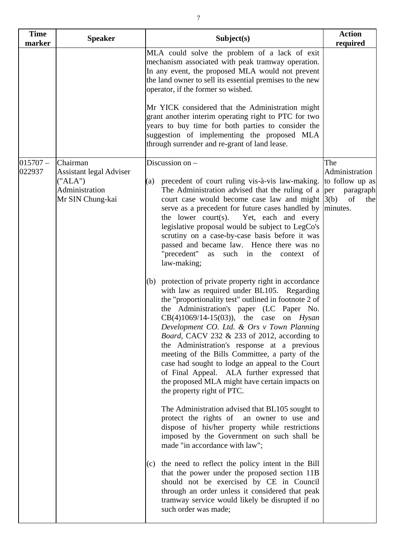| <b>Time</b><br>marker | <b>Speaker</b>                                                                              | Subject(s)                                                                                                                                                                                                                                                                                                                                                                                                                                                                                                                                                                                                                                                                                                                                                                                                                                                                                                                                                                                                                                                                                                                                                                                                                                                                                                                                                                                                                                                                                                                                                                                                                                                                                                      | <b>Action</b><br>required                                          |
|-----------------------|---------------------------------------------------------------------------------------------|-----------------------------------------------------------------------------------------------------------------------------------------------------------------------------------------------------------------------------------------------------------------------------------------------------------------------------------------------------------------------------------------------------------------------------------------------------------------------------------------------------------------------------------------------------------------------------------------------------------------------------------------------------------------------------------------------------------------------------------------------------------------------------------------------------------------------------------------------------------------------------------------------------------------------------------------------------------------------------------------------------------------------------------------------------------------------------------------------------------------------------------------------------------------------------------------------------------------------------------------------------------------------------------------------------------------------------------------------------------------------------------------------------------------------------------------------------------------------------------------------------------------------------------------------------------------------------------------------------------------------------------------------------------------------------------------------------------------|--------------------------------------------------------------------|
|                       |                                                                                             | MLA could solve the problem of a lack of exit<br>mechanism associated with peak tramway operation.<br>In any event, the proposed MLA would not prevent<br>the land owner to sell its essential premises to the new<br>operator, if the former so wished.                                                                                                                                                                                                                                                                                                                                                                                                                                                                                                                                                                                                                                                                                                                                                                                                                                                                                                                                                                                                                                                                                                                                                                                                                                                                                                                                                                                                                                                        |                                                                    |
|                       |                                                                                             | Mr YICK considered that the Administration might<br>grant another interim operating right to PTC for two<br>years to buy time for both parties to consider the<br>suggestion of implementing the proposed MLA<br>through surrender and re-grant of land lease.                                                                                                                                                                                                                                                                                                                                                                                                                                                                                                                                                                                                                                                                                                                                                                                                                                                                                                                                                                                                                                                                                                                                                                                                                                                                                                                                                                                                                                                  |                                                                    |
| $015707 -$<br>022937  | Chairman<br><b>Assistant legal Adviser</b><br>("ALA")<br>Administration<br>Mr SIN Chung-kai | Discussion on -<br>precedent of court ruling vis-à-vis law-making.<br>(a)<br>The Administration advised that the ruling of a per<br>court case would become case law and might $ 3(b) $<br>serve as a precedent for future cases handled by minutes.<br>the lower court $(s)$ .<br>Yet, each and every<br>legislative proposal would be subject to LegCo's<br>scrutiny on a case-by-case basis before it was<br>passed and became law. Hence there was no<br>"precedent"<br>as such in the<br>context<br><sub>of</sub><br>law-making;<br>(b) protection of private property right in accordance<br>with law as required under BL105. Regarding<br>the "proportionality test" outlined in footnote 2 of<br>the Administration's paper (LC Paper No.<br>$CB(4)1069/14-15(03)$ , the case on <i>Hysan</i><br>Development CO. Ltd. & Ors v Town Planning<br>Board, CACV 232 & 233 of 2012, according to<br>the Administration's response at a previous<br>meeting of the Bills Committee, a party of the<br>case had sought to lodge an appeal to the Court<br>of Final Appeal. ALA further expressed that<br>the proposed MLA might have certain impacts on<br>the property right of PTC.<br>The Administration advised that BL105 sought to<br>protect the rights of an owner to use and<br>dispose of his/her property while restrictions<br>imposed by the Government on such shall be<br>made "in accordance with law";<br>the need to reflect the policy intent in the Bill<br>(c)<br>that the power under the proposed section 11B<br>should not be exercised by CE in Council<br>through an order unless it considered that peak<br>tramway service would likely be disrupted if no<br>such order was made; | The<br>Administration<br>to follow up as<br>paragraph<br>of<br>the |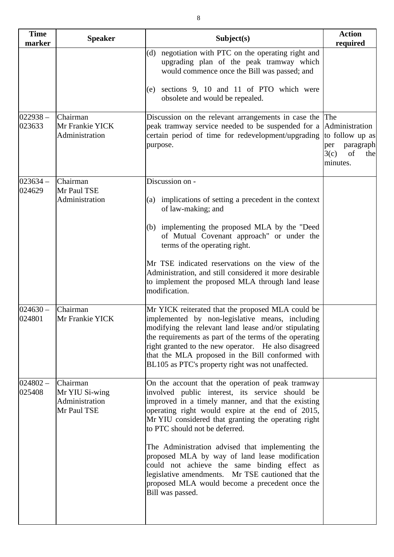| <b>Speaker</b>                                              | Subject(s)                                                                                                                                                                                                                                                                                                                                                                                                                                                                                                                                                                               | <b>Action</b><br>required                                                                     |
|-------------------------------------------------------------|------------------------------------------------------------------------------------------------------------------------------------------------------------------------------------------------------------------------------------------------------------------------------------------------------------------------------------------------------------------------------------------------------------------------------------------------------------------------------------------------------------------------------------------------------------------------------------------|-----------------------------------------------------------------------------------------------|
|                                                             | (d) negotiation with PTC on the operating right and<br>upgrading plan of the peak tramway which<br>would commence once the Bill was passed; and                                                                                                                                                                                                                                                                                                                                                                                                                                          |                                                                                               |
|                                                             | sections 9, 10 and 11 of PTO which were<br>(e)<br>obsolete and would be repealed.                                                                                                                                                                                                                                                                                                                                                                                                                                                                                                        |                                                                                               |
| Chairman<br>Mr Frankie YICK<br>Administration               | Discussion on the relevant arrangements in case the<br>peak tramway service needed to be suspended for a<br>certain period of time for redevelopment/upgrading<br>purpose.                                                                                                                                                                                                                                                                                                                                                                                                               | The<br>Administration<br>to follow up as<br>paragraph<br>per<br>3(c)<br>of<br>the<br>minutes. |
| Chairman                                                    | Discussion on -                                                                                                                                                                                                                                                                                                                                                                                                                                                                                                                                                                          |                                                                                               |
| Administration                                              | (a) implications of setting a precedent in the context<br>of law-making; and                                                                                                                                                                                                                                                                                                                                                                                                                                                                                                             |                                                                                               |
|                                                             | (b) implementing the proposed MLA by the "Deed<br>of Mutual Covenant approach" or under the<br>terms of the operating right.                                                                                                                                                                                                                                                                                                                                                                                                                                                             |                                                                                               |
|                                                             | Mr TSE indicated reservations on the view of the<br>Administration, and still considered it more desirable<br>to implement the proposed MLA through land lease<br>modification.                                                                                                                                                                                                                                                                                                                                                                                                          |                                                                                               |
| Chairman<br>Mr Frankie YICK                                 | Mr YICK reiterated that the proposed MLA could be<br>implemented by non-legislative means, including<br>modifying the relevant land lease and/or stipulating<br>the requirements as part of the terms of the operating<br>right granted to the new operator. He also disagreed<br>that the MLA proposed in the Bill conformed with<br>BL105 as PTC's property right was not unaffected.                                                                                                                                                                                                  |                                                                                               |
| Chairman<br>Mr YIU Si-wing<br>Administration<br>Mr Paul TSE | On the account that the operation of peak tramway<br>involved public interest, its service should be<br>improved in a timely manner, and that the existing<br>operating right would expire at the end of 2015,<br>Mr YIU considered that granting the operating right<br>to PTC should not be deferred.<br>The Administration advised that implementing the<br>proposed MLA by way of land lease modification<br>could not achieve the same binding effect as<br>legislative amendments. Mr TSE cautioned that the<br>proposed MLA would become a precedent once the<br>Bill was passed. |                                                                                               |
|                                                             | Mr Paul TSE                                                                                                                                                                                                                                                                                                                                                                                                                                                                                                                                                                              |                                                                                               |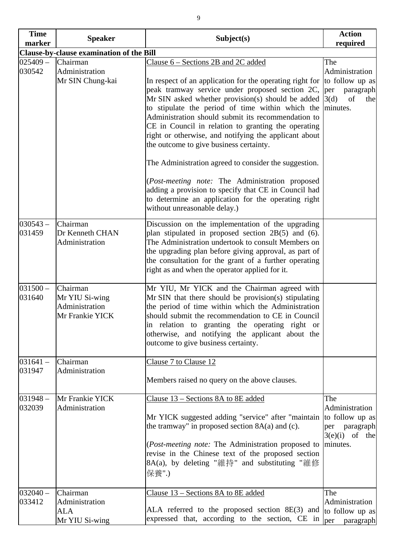| <b>Time</b><br>marker | <b>Speaker</b>                                                  | Subject(s)                                                                                                                                                                                                                                                                                                                                                                                                                                                                                                                                                                                                                                                                                              | <b>Action</b><br>required                                                                     |
|-----------------------|-----------------------------------------------------------------|---------------------------------------------------------------------------------------------------------------------------------------------------------------------------------------------------------------------------------------------------------------------------------------------------------------------------------------------------------------------------------------------------------------------------------------------------------------------------------------------------------------------------------------------------------------------------------------------------------------------------------------------------------------------------------------------------------|-----------------------------------------------------------------------------------------------|
|                       | Clause-by-clause examination of the Bill                        |                                                                                                                                                                                                                                                                                                                                                                                                                                                                                                                                                                                                                                                                                                         |                                                                                               |
| $025409 -$<br>030542  | Chairman<br>Administration<br>Mr SIN Chung-kai                  | Clause 6 – Sections 2B and 2C added<br>In respect of an application for the operating right for<br>peak tramway service under proposed section 2C,<br>Mr SIN asked whether provision(s) should be added<br>to stipulate the period of time within which the<br>Administration should submit its recommendation to<br>CE in Council in relation to granting the operating<br>right or otherwise, and notifying the applicant about<br>the outcome to give business certainty.<br>The Administration agreed to consider the suggestion.<br>(Post-meeting note: The Administration proposed<br>adding a provision to specify that CE in Council had<br>to determine an application for the operating right | The<br>Administration<br>to follow up as<br>paragraph<br>per<br>3(d)<br>of<br>the<br>minutes. |
| $030543 -$<br>031459  | Chairman<br>Dr Kenneth CHAN<br>Administration                   | without unreasonable delay.)<br>Discussion on the implementation of the upgrading<br>plan stipulated in proposed section $2B(5)$ and (6).<br>The Administration undertook to consult Members on<br>the upgrading plan before giving approval, as part of<br>the consultation for the grant of a further operating<br>right as and when the operator applied for it.                                                                                                                                                                                                                                                                                                                                     |                                                                                               |
| $031500 -$<br>031640  | Chairman<br>Mr YIU Si-wing<br>Administration<br>Mr Frankie YICK | Mr YIU, Mr YICK and the Chairman agreed with<br>Mr SIN that there should be provision(s) stipulating<br>the period of time within which the Administration<br>should submit the recommendation to CE in Council<br>in relation to granting the operating right or<br>otherwise, and notifying the applicant about the<br>outcome to give business certainty.                                                                                                                                                                                                                                                                                                                                            |                                                                                               |
| $031641 -$<br>031947  | Chairman<br>Administration                                      | Clause 7 to Clause 12<br>Members raised no query on the above clauses.                                                                                                                                                                                                                                                                                                                                                                                                                                                                                                                                                                                                                                  |                                                                                               |
| $031948 -$<br>032039  | Mr Frankie YICK<br>Administration                               | Clause 13 - Sections 8A to 8E added<br>Mr YICK suggested adding "service" after "maintain<br>the tramway" in proposed section $8A(a)$ and (c).<br>( <i>Post-meeting note:</i> The Administration proposed to<br>revise in the Chinese text of the proposed section<br>8A(a), by deleting "維持" and substituting "維修<br>保養".)                                                                                                                                                                                                                                                                                                                                                                             | The<br>Administration<br>to follow up as<br>per paragraph<br>$3(e)(i)$ of the<br>minutes.     |
| $032040 -$<br>033412  | Chairman<br>Administration<br>ALA<br>Mr YIU Si-wing             | Clause 13 – Sections 8A to 8E added<br>ALA referred to the proposed section 8E(3) and<br>expressed that, according to the section, CE in                                                                                                                                                                                                                                                                                                                                                                                                                                                                                                                                                                | The<br>Administration<br>to follow up as<br>per<br>paragraph                                  |